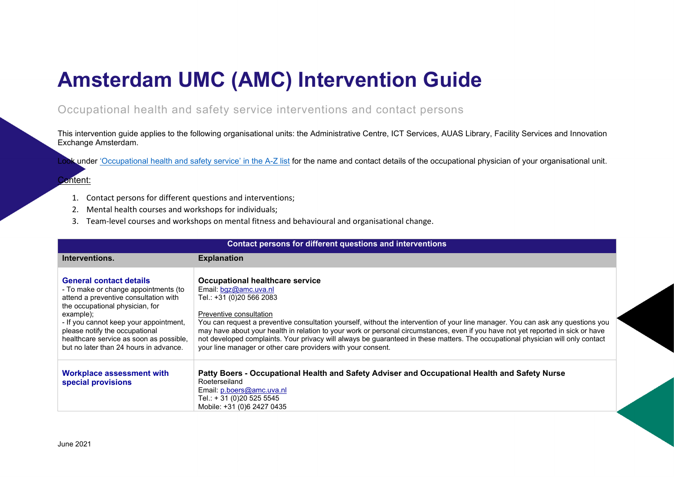## **Amsterdam UMC (AMC) Intervention Guide**

Occupational health and safety service interventions and contact persons

This intervention guide applies to the following organisational units: the Administrative Centre, ICT Services, AUAS Library, Facility Services and Innovation Exchange Amsterdam.

Look under ['Occupational health and safety service' in the A-Z list](https://az.hva.nl/medewerkers/staven-en-diensten/az-lemmas/medewerkers/hva-breed/ac-hr/arbodienst/arbodienst.html?origin=EYPxGBCiReW4zt5jgW0eJw) for the name and contact details of the occupational physician of your organisational unit.

## Content:

- 1. Contact persons for different questions and interventions;
- 2. Mental health courses and workshops for individuals;
- 3. Team-level courses and workshops on mental fitness and behavioural and organisational change.

| Contact persons for different questions and interventions                                                                                                                                                                                                                                                                        |                                                                                                                                                                                                                                                                                                                                                                                                                                                                                                                                                                                            |  |  |  |
|----------------------------------------------------------------------------------------------------------------------------------------------------------------------------------------------------------------------------------------------------------------------------------------------------------------------------------|--------------------------------------------------------------------------------------------------------------------------------------------------------------------------------------------------------------------------------------------------------------------------------------------------------------------------------------------------------------------------------------------------------------------------------------------------------------------------------------------------------------------------------------------------------------------------------------------|--|--|--|
| Interventions.                                                                                                                                                                                                                                                                                                                   | <b>Explanation</b>                                                                                                                                                                                                                                                                                                                                                                                                                                                                                                                                                                         |  |  |  |
| <b>General contact details</b><br>- To make or change appointments (to<br>attend a preventive consultation with<br>the occupational physician, for<br>example);<br>- If you cannot keep your appointment,<br>please notify the occupational<br>healthcare service as soon as possible,<br>but no later than 24 hours in advance. | Occupational healthcare service<br>Email: bqz@amc.uva.nl<br>Tel.: +31 (0)20 566 2083<br>Preventive consultation<br>You can request a preventive consultation yourself, without the intervention of your line manager. You can ask any questions you<br>may have about your health in relation to your work or personal circumstances, even if you have not yet reported in sick or have<br>not developed complaints. Your privacy will always be guaranteed in these matters. The occupational physician will only contact<br>your line manager or other care providers with your consent. |  |  |  |
| <b>Workplace assessment with</b><br>special provisions                                                                                                                                                                                                                                                                           | Patty Boers - Occupational Health and Safety Adviser and Occupational Health and Safety Nurse<br>Roeterseiland<br>Email: $p.boers@ame.uva.nl$<br>Tel.: + 31 (0)20 525 5545<br>Mobile: +31 (0)6 2427 0435                                                                                                                                                                                                                                                                                                                                                                                   |  |  |  |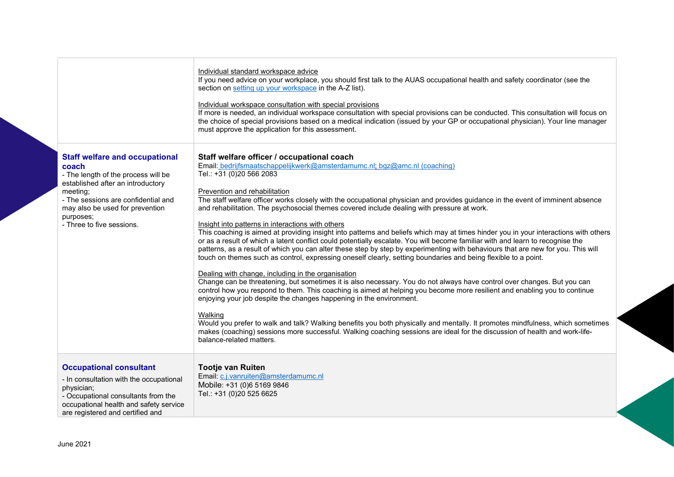|                                                                                                                                                                                                                                                            | Individual standard workspace advice<br>If you need advice on your workplace, you should first talk to the AUAS occupational health and safety coordinator (see the<br>section on setting up your workspace in the A-Z list).<br>Individual workspace consultation with special provisions<br>If more is needed, an individual workspace consultation with special provisions can be conducted. This consultation will focus on<br>the choice of special provisions based on a medical indication (issued by your GP or occupational physician). Your line manager<br>must approve the application for this assessment.                                                                                                                                                                                                                                                                                                                                                                                                                                                                                                                                                                                                                                                                                                                                                                                                                                                                                                                                                                                                                                                                               |
|------------------------------------------------------------------------------------------------------------------------------------------------------------------------------------------------------------------------------------------------------------|-------------------------------------------------------------------------------------------------------------------------------------------------------------------------------------------------------------------------------------------------------------------------------------------------------------------------------------------------------------------------------------------------------------------------------------------------------------------------------------------------------------------------------------------------------------------------------------------------------------------------------------------------------------------------------------------------------------------------------------------------------------------------------------------------------------------------------------------------------------------------------------------------------------------------------------------------------------------------------------------------------------------------------------------------------------------------------------------------------------------------------------------------------------------------------------------------------------------------------------------------------------------------------------------------------------------------------------------------------------------------------------------------------------------------------------------------------------------------------------------------------------------------------------------------------------------------------------------------------------------------------------------------------------------------------------------------------|
| <b>Staff welfare and occupational</b><br>coach<br>- The length of the process will be<br>established after an introductory<br>meeting:<br>- The sessions are confidential and<br>may also be used for prevention<br>purposes;<br>- Three to five sessions. | Staff welfare officer / occupational coach<br>Email: bedrijfsmaatschappelijkwerk@amsterdamumc.nl; bgz@amc.nl (coaching)<br>Tel.: +31 (0)20 566 2083<br>Prevention and rehabilitation<br>The staff welfare officer works closely with the occupational physician and provides guidance in the event of imminent absence<br>and rehabilitation. The psychosocial themes covered include dealing with pressure at work.<br>Insight into patterns in interactions with others<br>This coaching is aimed at providing insight into patterns and beliefs which may at times hinder you in your interactions with others<br>or as a result of which a latent conflict could potentially escalate. You will become familiar with and learn to recognise the<br>patterns, as a result of which you can alter these step by step by experimenting with behaviours that are new for you. This will<br>touch on themes such as control, expressing oneself clearly, setting boundaries and being flexible to a point.<br>Dealing with change, including in the organisation<br>Change can be threatening, but sometimes it is also necessary. You do not always have control over changes. But you can<br>control how you respond to them. This coaching is aimed at helping you become more resilient and enabling you to continue<br>enjoying your job despite the changes happening in the environment.<br>Walking<br>Would you prefer to walk and talk? Walking benefits you both physically and mentally. It promotes mindfulness, which sometimes<br>makes (coaching) sessions more successful. Walking coaching sessions are ideal for the discussion of health and work-life-<br>balance-related matters. |
| <b>Occupational consultant</b><br>- In consultation with the occupational<br>physician;<br>- Occupational consultants from the<br>occupational health and safety service<br>are registered and certified and                                               | <b>Tootje van Ruiten</b><br>Email: c.j.vanruiten@amsterdamumc.nl<br>Mobile: +31 (0)6 5169 9846<br>Tel.: +31 (0)20 525 6625                                                                                                                                                                                                                                                                                                                                                                                                                                                                                                                                                                                                                                                                                                                                                                                                                                                                                                                                                                                                                                                                                                                                                                                                                                                                                                                                                                                                                                                                                                                                                                            |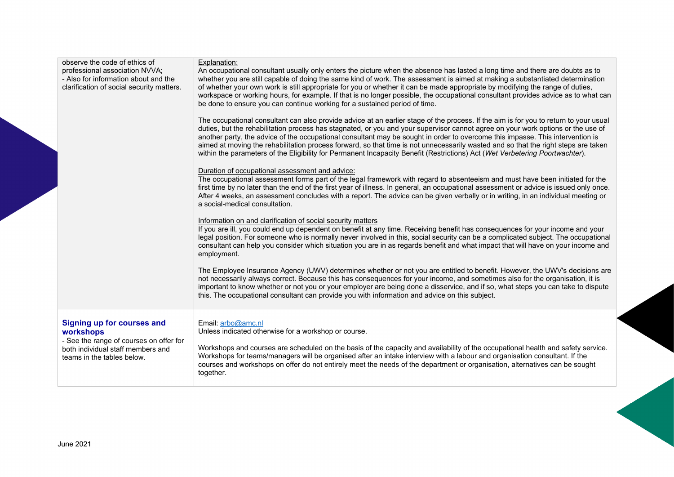| observe the code of ethics of<br>professional association NVVA;<br>- Also for information about and the<br>clarification of social security matters.         | Explanation:<br>An occupational consultant usually only enters the picture when the absence has lasted a long time and there are doubts as to<br>whether you are still capable of doing the same kind of work. The assessment is aimed at making a substantiated determination<br>of whether your own work is still appropriate for you or whether it can be made appropriate by modifying the range of duties,<br>workspace or working hours, for example. If that is no longer possible, the occupational consultant provides advice as to what can<br>be done to ensure you can continue working for a sustained period of time.<br>The occupational consultant can also provide advice at an earlier stage of the process. If the aim is for you to return to your usual<br>duties, but the rehabilitation process has stagnated, or you and your supervisor cannot agree on your work options or the use of<br>another party, the advice of the occupational consultant may be sought in order to overcome this impasse. This intervention is<br>aimed at moving the rehabilitation process forward, so that time is not unnecessarily wasted and so that the right steps are taken<br>within the parameters of the Eligibility for Permanent Incapacity Benefit (Restrictions) Act (Wet Verbetering Poortwachter).<br>Duration of occupational assessment and advice:<br>The occupational assessment forms part of the legal framework with regard to absenteeism and must have been initiated for the<br>first time by no later than the end of the first year of illness. In general, an occupational assessment or advice is issued only once.<br>After 4 weeks, an assessment concludes with a report. The advice can be given verbally or in writing, in an individual meeting or<br>a social-medical consultation.<br>Information on and clarification of social security matters<br>If you are ill, you could end up dependent on benefit at any time. Receiving benefit has consequences for your income and your<br>legal position. For someone who is normally never involved in this, social security can be a complicated subject. The occupational<br>consultant can help you consider which situation you are in as regards benefit and what impact that will have on your income and<br>employment.<br>The Employee Insurance Agency (UWV) determines whether or not you are entitled to benefit. However, the UWV's decisions are<br>not necessarily always correct. Because this has consequences for your income, and sometimes also for the organisation, it is<br>important to know whether or not you or your employer are being done a disservice, and if so, what steps you can take to dispute<br>this. The occupational consultant can provide you with information and advice on this subject. |
|--------------------------------------------------------------------------------------------------------------------------------------------------------------|--------------------------------------------------------------------------------------------------------------------------------------------------------------------------------------------------------------------------------------------------------------------------------------------------------------------------------------------------------------------------------------------------------------------------------------------------------------------------------------------------------------------------------------------------------------------------------------------------------------------------------------------------------------------------------------------------------------------------------------------------------------------------------------------------------------------------------------------------------------------------------------------------------------------------------------------------------------------------------------------------------------------------------------------------------------------------------------------------------------------------------------------------------------------------------------------------------------------------------------------------------------------------------------------------------------------------------------------------------------------------------------------------------------------------------------------------------------------------------------------------------------------------------------------------------------------------------------------------------------------------------------------------------------------------------------------------------------------------------------------------------------------------------------------------------------------------------------------------------------------------------------------------------------------------------------------------------------------------------------------------------------------------------------------------------------------------------------------------------------------------------------------------------------------------------------------------------------------------------------------------------------------------------------------------------------------------------------------------------------------------------------------------------------------------------------------------------------------------------------------------------------------------------------------------------------------------------------------------------------------------------------------------------------------------------------------------------------------------------------------------------------------------------------------------------------------------------|
| <b>Signing up for courses and</b><br>workshops<br>- See the range of courses on offer for<br>both individual staff members and<br>teams in the tables below. | Email: arbo@amc.nl<br>Unless indicated otherwise for a workshop or course.<br>Workshops and courses are scheduled on the basis of the capacity and availability of the occupational health and safety service.<br>Workshops for teams/managers will be organised after an intake interview with a labour and organisation consultant. If the<br>courses and workshops on offer do not entirely meet the needs of the department or organisation, alternatives can be sought<br>together.                                                                                                                                                                                                                                                                                                                                                                                                                                                                                                                                                                                                                                                                                                                                                                                                                                                                                                                                                                                                                                                                                                                                                                                                                                                                                                                                                                                                                                                                                                                                                                                                                                                                                                                                                                                                                                                                                                                                                                                                                                                                                                                                                                                                                                                                                                                                       |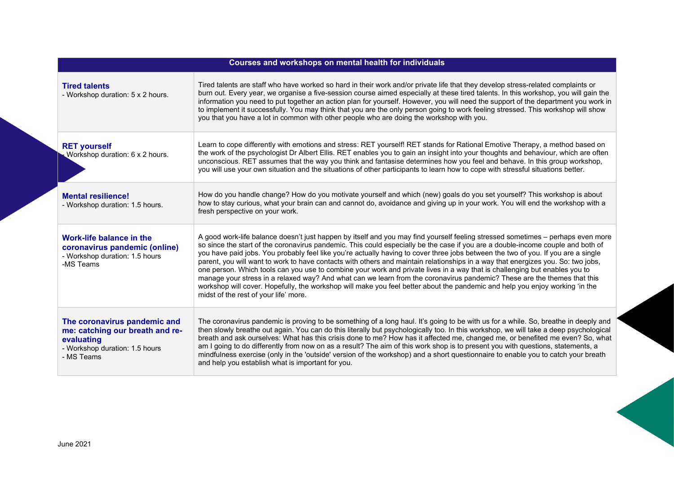| Courses and workshops on mental health for individuals                                                                        |                                                                                                                                                                                                                                                                                                                                                                                                                                                                                                                                                                                                                                                                                                                                                                                                                                                                                                                                                                                |  |  |
|-------------------------------------------------------------------------------------------------------------------------------|--------------------------------------------------------------------------------------------------------------------------------------------------------------------------------------------------------------------------------------------------------------------------------------------------------------------------------------------------------------------------------------------------------------------------------------------------------------------------------------------------------------------------------------------------------------------------------------------------------------------------------------------------------------------------------------------------------------------------------------------------------------------------------------------------------------------------------------------------------------------------------------------------------------------------------------------------------------------------------|--|--|
| <b>Tired talents</b><br>- Workshop duration: 5 x 2 hours.                                                                     | Tired talents are staff who have worked so hard in their work and/or private life that they develop stress-related complaints or<br>burn out. Every year, we organise a five-session course aimed especially at these tired talents. In this workshop, you will gain the<br>information you need to put together an action plan for yourself. However, you will need the support of the department you work in<br>to implement it successfully. You may think that you are the only person going to work feeling stressed. This workshop will show<br>you that you have a lot in common with other people who are doing the workshop with you.                                                                                                                                                                                                                                                                                                                                 |  |  |
| <b>RET yourself</b><br>Workshop duration: 6 x 2 hours.                                                                        | Learn to cope differently with emotions and stress: RET yourself! RET stands for Rational Emotive Therapy, a method based on<br>the work of the psychologist Dr Albert Ellis. RET enables you to gain an insight into your thoughts and behaviour, which are often<br>unconscious. RET assumes that the way you think and fantasise determines how you feel and behave. In this group workshop,<br>you will use your own situation and the situations of other participants to learn how to cope with stressful situations better.                                                                                                                                                                                                                                                                                                                                                                                                                                             |  |  |
| <b>Mental resilience!</b><br>- Workshop duration: 1.5 hours.                                                                  | How do you handle change? How do you motivate yourself and which (new) goals do you set yourself? This workshop is about<br>how to stay curious, what your brain can and cannot do, avoidance and giving up in your work. You will end the workshop with a<br>fresh perspective on your work.                                                                                                                                                                                                                                                                                                                                                                                                                                                                                                                                                                                                                                                                                  |  |  |
| Work-life balance in the<br>coronavirus pandemic (online)<br>- Workshop duration: 1.5 hours<br>-MS Teams                      | A good work-life balance doesn't just happen by itself and you may find yourself feeling stressed sometimes - perhaps even more<br>so since the start of the coronavirus pandemic. This could especially be the case if you are a double-income couple and both of<br>you have paid jobs. You probably feel like you're actually having to cover three jobs between the two of you. If you are a single<br>parent, you will want to work to have contacts with others and maintain relationships in a way that energizes you. So: two jobs,<br>one person. Which tools can you use to combine your work and private lives in a way that is challenging but enables you to<br>manage your stress in a relaxed way? And what can we learn from the coronavirus pandemic? These are the themes that this<br>workshop will cover. Hopefully, the workshop will make you feel better about the pandemic and help you enjoy working 'in the<br>midst of the rest of your life' more. |  |  |
| The coronavirus pandemic and<br>me: catching our breath and re-<br>evaluating<br>- Workshop duration: 1.5 hours<br>- MS Teams | The coronavirus pandemic is proving to be something of a long haul. It's going to be with us for a while. So, breathe in deeply and<br>then slowly breathe out again. You can do this literally but psychologically too. In this workshop, we will take a deep psychological<br>breath and ask ourselves: What has this crisis done to me? How has it affected me, changed me, or benefited me even? So, what<br>am I going to do differently from now on as a result? The aim of this work shop is to present you with questions, statements, a<br>mindfulness exercise (only in the 'outside' version of the workshop) and a short questionnaire to enable you to catch your breath<br>and help you establish what is important for you.                                                                                                                                                                                                                                     |  |  |